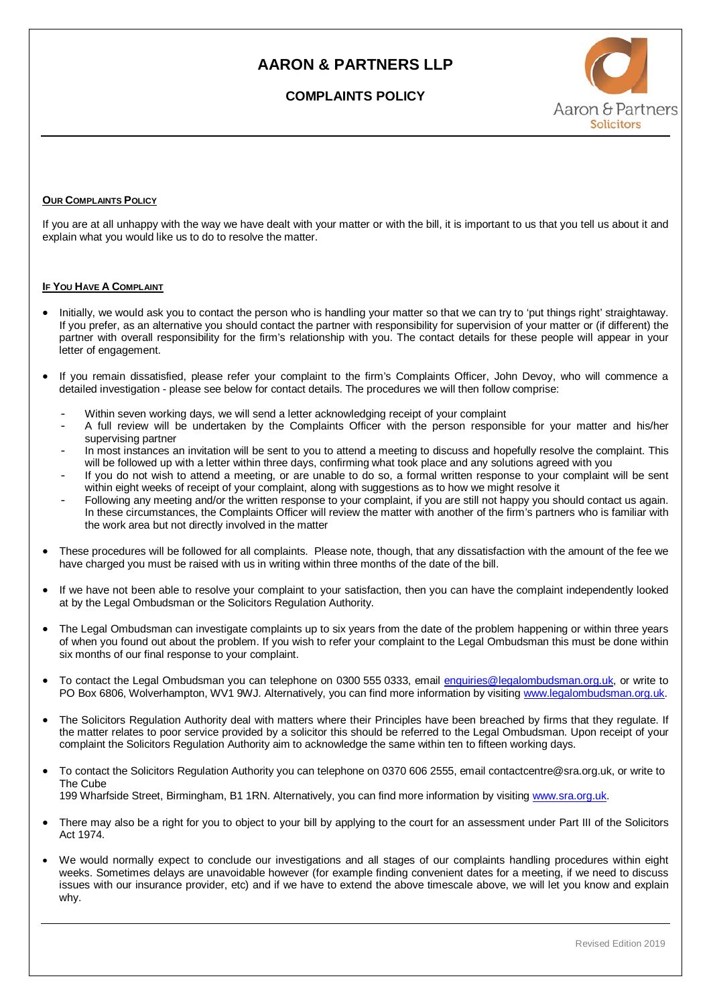## **AARON & PARTNERS LLP**

### **COMPLAINTS POLICY**



#### **OUR COMPLAINTS POLICY**

If you are at all unhappy with the way we have dealt with your matter or with the bill, it is important to us that you tell us about it and explain what you would like us to do to resolve the matter.

#### **IF YOU HAVE A COMPLAINT**

- Initially, we would ask you to contact the person who is handling your matter so that we can try to 'put things right' straightaway. If you prefer, as an alternative you should contact the partner with responsibility for supervision of your matter or (if different) the partner with overall responsibility for the firm's relationship with you. The contact details for these people will appear in your letter of engagement.
- If you remain dissatisfied, please refer your complaint to the firm's Complaints Officer, John Devoy, who will commence a detailed investigation - please see below for contact details. The procedures we will then follow comprise:
	- Within seven working days, we will send a letter acknowledging receipt of your complaint
	- A full review will be undertaken by the Complaints Officer with the person responsible for your matter and his/her supervising partner
	- In most instances an invitation will be sent to you to attend a meeting to discuss and hopefully resolve the complaint. This will be followed up with a letter within three days, confirming what took place and any solutions agreed with you
	- If you do not wish to attend a meeting, or are unable to do so, a formal written response to your complaint will be sent within eight weeks of receipt of your complaint, along with suggestions as to how we might resolve it
	- Following any meeting and/or the written response to your complaint, if you are still not happy you should contact us again. In these circumstances, the Complaints Officer will review the matter with another of the firm's partners who is familiar with the work area but not directly involved in the matter
- These procedures will be followed for all complaints. Please note, though, that any dissatisfaction with the amount of the fee we have charged you must be raised with us in writing within three months of the date of the bill.
- If we have not been able to resolve your complaint to your satisfaction, then you can have the complaint independently looked at by the Legal Ombudsman or the Solicitors Regulation Authority.
- The Legal Ombudsman can investigate complaints up to six years from the date of the problem happening or within three years of when you found out about the problem. If you wish to refer your complaint to the Legal Ombudsman this must be done within six months of our final response to your complaint.
- To contact the Legal Ombudsman you can telephone on 0300 555 0333, email [enquiries@legalombudsman.org.uk,](mailto:enquiries@legalombudsman.org.uk) or write to PO Box 6806, Wolverhampton, WV1 9WJ. Alternatively, you can find more information by visitin[g www.legalombudsman.org.uk.](http://www.legalombudsman.org.uk/)
- The Solicitors Regulation Authority deal with matters where their Principles have been breached by firms that they regulate. If the matter relates to poor service provided by a solicitor this should be referred to the Legal Ombudsman. Upon receipt of your complaint the Solicitors Regulation Authority aim to acknowledge the same within ten to fifteen working days.
- To contact the Solicitors Regulation Authority you can telephone on 0370 606 2555, email contactcentre@sra.org.uk, or write to The Cube 199 Wharfside Street, Birmingham, B1 1RN. Alternatively, you can find more information by visiting [www.sra.org.uk.](http://www.sra.org.uk/)
- There may also be a right for you to object to your bill by applying to the court for an assessment under Part III of the Solicitors Act 1974.
- We would normally expect to conclude our investigations and all stages of our complaints handling procedures within eight weeks. Sometimes delays are unavoidable however (for example finding convenient dates for a meeting, if we need to discuss issues with our insurance provider, etc) and if we have to extend the above timescale above, we will let you know and explain why.